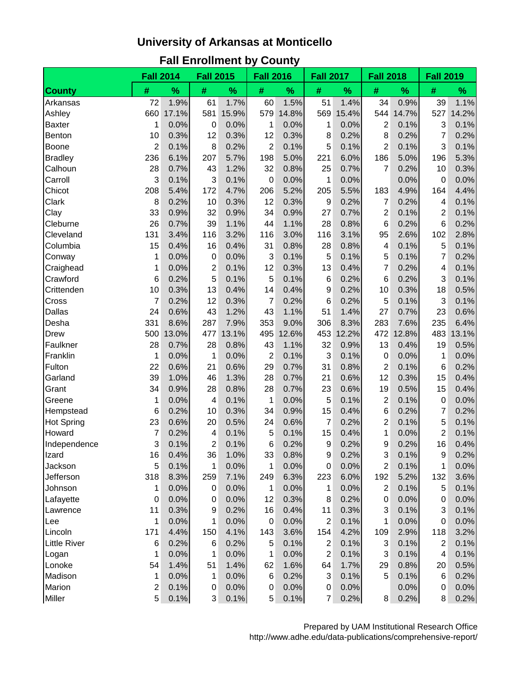## **University of Arkansas at Monticello**

|                     | <b>Fall 2014</b> |               | <b>Fall 2015</b>        |               | <b>Fall 2016</b> |               | <b>Fall 2017</b> |               | <b>Fall 2018</b> |               | <b>Fall 2019</b>        |       |
|---------------------|------------------|---------------|-------------------------|---------------|------------------|---------------|------------------|---------------|------------------|---------------|-------------------------|-------|
| <b>County</b>       | #                | $\frac{9}{6}$ | $\#$                    | $\frac{9}{6}$ | $\#$             | $\frac{9}{6}$ | #                | $\frac{9}{6}$ | $\#$             | $\frac{9}{6}$ | #                       | $\%$  |
| Arkansas            | 72               | 1.9%          | 61                      | 1.7%          | 60               | 1.5%          | 51               | 1.4%          | 34               | 0.9%          | 39                      | 1.1%  |
| Ashley              | 660              | 17.1%         | 581                     | 15.9%         | 579              | 14.8%         | 569              | 15.4%         | 544              | 14.7%         | 527                     | 14.2% |
| <b>Baxter</b>       | 1                | 0.0%          | 0                       | 0.0%          | 1                | 0.0%          | 1                | 0.0%          | 2                | 0.1%          | 3                       | 0.1%  |
| Benton              | 10               | 0.3%          | 12                      | 0.3%          | 12               | 0.3%          | 8                | 0.2%          | 8                | 0.2%          | 7                       | 0.2%  |
| Boone               | 2                | 0.1%          | 8                       | 0.2%          | $\overline{2}$   | 0.1%          | 5                | 0.1%          | $\overline{2}$   | 0.1%          | 3                       | 0.1%  |
| <b>Bradley</b>      | 236              | 6.1%          | 207                     | 5.7%          | 198              | 5.0%          | 221              | 6.0%          | 186              | 5.0%          | 196                     | 5.3%  |
| Calhoun             | 28               | 0.7%          | 43                      | 1.2%          | 32               | 0.8%          | 25               | 0.7%          | 7                | 0.2%          | 10                      | 0.3%  |
| Carroll             | 3                | 0.1%          | 3                       | 0.1%          | $\mathbf 0$      | 0.0%          | 1                | 0.0%          |                  | 0.0%          | 0                       | 0.0%  |
| Chicot              | 208              | 5.4%          | 172                     | 4.7%          | 206              | 5.2%          | 205              | 5.5%          | 183              | 4.9%          | 164                     | 4.4%  |
| Clark               | 8                | 0.2%          | 10                      | 0.3%          | 12               | 0.3%          | 9                | 0.2%          | $\overline{7}$   | 0.2%          | 4                       | 0.1%  |
| Clay                | 33               | 0.9%          | 32                      | 0.9%          | 34               | 0.9%          | 27               | 0.7%          | $\overline{2}$   | 0.1%          | 2                       | 0.1%  |
| Cleburne            | 26               | 0.7%          | 39                      | 1.1%          | 44               | 1.1%          | 28               | 0.8%          | 6                | 0.2%          | 6                       | 0.2%  |
| Cleveland           | 131              | 3.4%          | 116                     | 3.2%          | 116              | 3.0%          | 116              | 3.1%          | 95               | 2.6%          | 102                     | 2.8%  |
| Columbia            | 15               | 0.4%          | 16                      | 0.4%          | 31               | 0.8%          | 28               | 0.8%          | 4                | 0.1%          | 5                       | 0.1%  |
| Conway              | 1                | 0.0%          | 0                       | 0.0%          | 3                | 0.1%          | 5                | 0.1%          | 5                | 0.1%          | 7                       | 0.2%  |
| Craighead           | 1                | 0.0%          | $\overline{\mathbf{c}}$ | 0.1%          | 12               | 0.3%          | 13               | 0.4%          | 7                | 0.2%          | 4                       | 0.1%  |
| Crawford            | 6                | 0.2%          | 5                       | 0.1%          | 5                | 0.1%          | 6                | 0.2%          | 6                | 0.2%          | 3                       | 0.1%  |
| Crittenden          | 10               | 0.3%          | 13                      | 0.4%          | 14               | 0.4%          | 9                | 0.2%          | 10               | 0.3%          | 18                      | 0.5%  |
| Cross               | 7                | 0.2%          | 12                      | 0.3%          | 7                | 0.2%          | 6                | 0.2%          | 5                | 0.1%          | 3                       | 0.1%  |
| Dallas              | 24               | 0.6%          | 43                      | 1.2%          | 43               | 1.1%          | 51               | 1.4%          | 27               | 0.7%          | 23                      | 0.6%  |
| Desha               | 331              | 8.6%          | 287                     | 7.9%          | 353              | 9.0%          | 306              | 8.3%          | 283              | 7.6%          | 235                     | 6.4%  |
| Drew                | 500              | 13.0%         | 477                     | 13.1%         | 495              | 12.6%         | 453              | 12.2%         | 472              | 12.8%         | 483                     | 13.1% |
| Faulkner            | 28               | 0.7%          | 28                      | 0.8%          | 43               | 1.1%          | 32               | 0.9%          | 13               | 0.4%          | 19                      | 0.5%  |
| Franklin            | 1                | 0.0%          | 1                       | 0.0%          | $\overline{2}$   | 0.1%          | 3                | 0.1%          | 0                | 0.0%          | 1                       | 0.0%  |
| Fulton              | 22               | 0.6%          | 21                      | 0.6%          | 29               | 0.7%          | 31               | 0.8%          | 2                | 0.1%          | 6                       | 0.2%  |
| Garland             | 39               | 1.0%          | 46                      | 1.3%          | 28               | 0.7%          | 21               | 0.6%          | 12               | 0.3%          | 15                      | 0.4%  |
| Grant               | 34               | 0.9%          | 28                      | 0.8%          | 28               | 0.7%          | 23               | 0.6%          | 19               | 0.5%          | 15                      | 0.4%  |
| Greene              | 1                | 0.0%          | 4                       | 0.1%          | 1                | 0.0%          | 5                | 0.1%          | 2                | 0.1%          | 0                       | 0.0%  |
| Hempstead           | 6                | 0.2%          | 10                      | 0.3%          | 34               | 0.9%          | 15               | 0.4%          | 6                | 0.2%          | 7                       | 0.2%  |
| <b>Hot Spring</b>   | 23               | 0.6%          | 20                      | 0.5%          | 24               | 0.6%          | 7                | 0.2%          | $\overline{c}$   | 0.1%          | 5                       | 0.1%  |
| Howard              | 7                | 0.2%          | 4                       | 0.1%          | 5                | 0.1%          | 15               | 0.4%          | 1                | 0.0%          | $\overline{\mathbf{c}}$ | 0.1%  |
| Independence        | 3                | 0.1%          | $\overline{c}$          | 0.1%          | 6                | 0.2%          | 9                | 0.2%          | 9                | 0.2%          | 16                      | 0.4%  |
| Izard               | 16               | 0.4%          | 36                      | 1.0%          | 33               | 0.8%          | 9                | 0.2%          | 3                | 0.1%          | 9                       | 0.2%  |
| Jackson             | 5                | 0.1%          | $\mathbf 1$             | 0.0%          | 1                | 0.0%          | 0                | 0.0%          | 2                | 0.1%          | 1                       | 0.0%  |
| Jefferson           | 318              | 8.3%          | 259                     | 7.1%          | 249              | 6.3%          | 223              | 6.0%          | 192              | 5.2%          | 132                     | 3.6%  |
| Johnson             | 1                | 0.0%          | 0                       | 0.0%          | 1                | 0.0%          | 1                | 0.0%          | $\overline{2}$   | 0.1%          | 5                       | 0.1%  |
| Lafayette           | 0                | 0.0%          | 0                       | 0.0%          | 12               | 0.3%          | 8                | 0.2%          | 0                | 0.0%          | 0                       | 0.0%  |
| Lawrence            | 11               | 0.3%          | 9                       | 0.2%          | 16               | 0.4%          | 11               | 0.3%          | 3                | 0.1%          | 3                       | 0.1%  |
| Lee                 | 1                | 0.0%          | 1                       | 0.0%          | $\boldsymbol{0}$ | 0.0%          | 2                | 0.1%          | 1                | 0.0%          | $\pmb{0}$               | 0.0%  |
| Lincoln             | 171              | 4.4%          | 150                     | 4.1%          | 143              | 3.6%          | 154              | 4.2%          | 109              | 2.9%          | 118                     | 3.2%  |
| <b>Little River</b> | 6                | 0.2%          | 6                       | 0.2%          | 5                | 0.1%          | $\overline{c}$   | 0.1%          | 3                | 0.1%          | $\boldsymbol{2}$        | 0.1%  |
| Logan               | 1                | 0.0%          | 1                       | 0.0%          | 1                | 0.0%          | $\overline{2}$   | 0.1%          | 3                | 0.1%          | 4                       | 0.1%  |
| Lonoke              | 54               | 1.4%          | 51                      | 1.4%          | 62               | 1.6%          | 64               | 1.7%          | 29               | 0.8%          | 20                      | 0.5%  |
| Madison             | 1                | 0.0%          | 1                       | 0.0%          | 6                | 0.2%          | 3                | 0.1%          | 5                | 0.1%          | 6                       | 0.2%  |
| Marion              | 2                | 0.1%          | 0                       | 0.0%          | $\boldsymbol{0}$ | 0.0%          | 0                | 0.0%          |                  | 0.0%          | 0                       | 0.0%  |
| <b>Miller</b>       | 5                | 0.1%          | 3                       | 0.1%          | 5                | 0.1%          | $\overline{7}$   | 0.2%          | 8                | 0.2%          | 8                       | 0.2%  |

Prepared by UAM Institutional Research Office http://www.adhe.edu/data-publications/comprehensive-report/